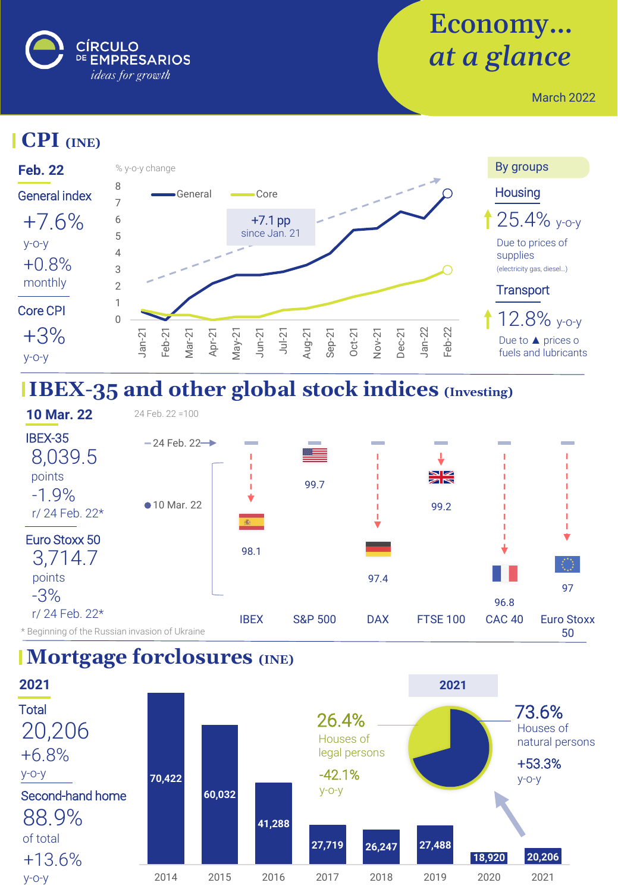

# Economy… *at a glance*

March 2022

#### **CPI (INE)**



# **IBEX-35 and other global stock indices (Investing)**



#### **Mortgage forclosures (INE)**